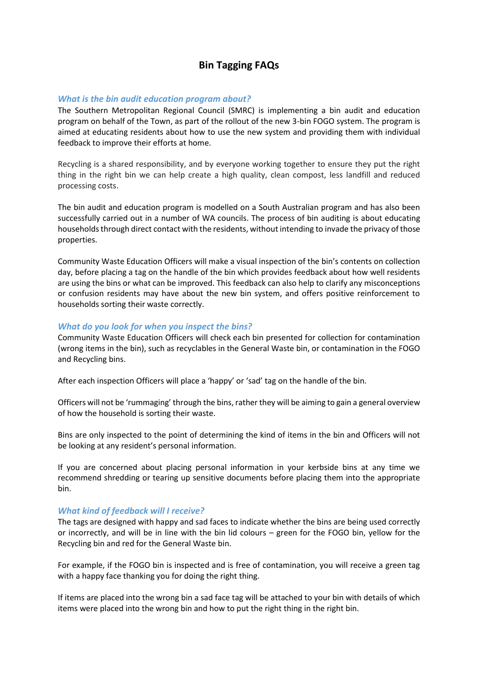# **Bin Tagging FAQs**

# *What is the bin audit education program about?*

The Southern Metropolitan Regional Council (SMRC) is implementing a bin audit and education program on behalf of the Town, as part of the rollout of the new 3-bin FOGO system. The program is aimed at educating residents about how to use the new system and providing them with individual feedback to improve their efforts at home.

Recycling is a shared responsibility, and by everyone working together to ensure they put the right thing in the right bin we can help create a high quality, clean compost, less landfill and reduced processing costs.

The bin audit and education program is modelled on a South Australian program and has also been successfully carried out in a number of WA councils. The process of bin auditing is about educating households through direct contact with the residents, without intending to invade the privacy of those properties.

Community Waste Education Officers will make a visual inspection of the bin's contents on collection day, before placing a tag on the handle of the bin which provides feedback about how well residents are using the bins or what can be improved. This feedback can also help to clarify any misconceptions or confusion residents may have about the new bin system, and offers positive reinforcement to households sorting their waste correctly.

## *What do you look for when you inspect the bins?*

Community Waste Education Officers will check each bin presented for collection for contamination (wrong items in the bin), such as recyclables in the General Waste bin, or contamination in the FOGO and Recycling bins.

After each inspection Officers will place a 'happy' or 'sad' tag on the handle of the bin.

Officers will not be 'rummaging' through the bins, rather they will be aiming to gain a general overview of how the household is sorting their waste.

Bins are only inspected to the point of determining the kind of items in the bin and Officers will not be looking at any resident's personal information.

If you are concerned about placing personal information in your kerbside bins at any time we recommend shredding or tearing up sensitive documents before placing them into the appropriate bin.

#### *What kind of feedback will I receive?*

The tags are designed with happy and sad faces to indicate whether the bins are being used correctly or incorrectly, and will be in line with the bin lid colours – green for the FOGO bin, yellow for the Recycling bin and red for the General Waste bin.

For example, if the FOGO bin is inspected and is free of contamination, you will receive a green tag with a happy face thanking you for doing the right thing.

If items are placed into the wrong bin a sad face tag will be attached to your bin with details of which items were placed into the wrong bin and how to put the right thing in the right bin.